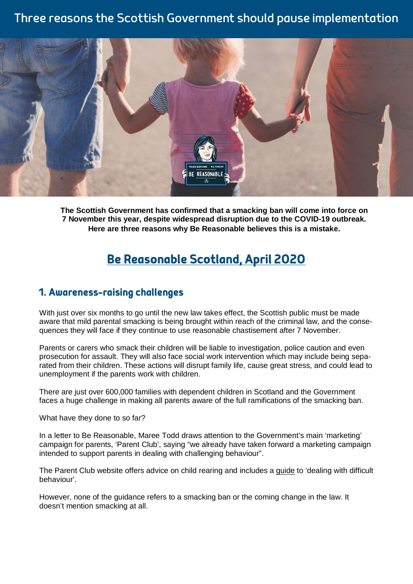## Three reasons the Scottish Government should pause implementation



**The Scottish Government has confirmed that a smacking ban will come into force on 7 November this year, despite widespread disruption due to the COVID-19 outbreak. Here are three reasons why Be Reasonable believes this is a mistake.**

# Be Reasonable Scotland, April 2020

#### 1. Awareness-raising challenges

With just over six months to go until the new law takes effect, the Scottish public must be made aware that mild parental smacking is being brought within reach of the criminal law, and the consequences they will face if they continue to use reasonable chastisement after 7 November.

Parents or carers who smack their children will be liable to investigation, police caution and even prosecution for assault. They will also face social work intervention which may include being separated from their children. These actions will disrupt family life, cause great stress, and could lead to unemployment if the parents work with children.

There are just over 600,000 families with dependent children in Scotland and the Government faces a huge challenge in making all parents aware of the full ramifications of the smacking ban.

What have they done to so far?

In a letter to Be Reasonable, Maree Todd draws attention to the Government's main 'marketing' campaign for parents, 'Parent Club', saying "we already have taken forward a marketing campaign intended to support parents in dealing with challenging behaviour".

The Parent Club website offers advice on child rearing and includes a [guide](https://www.parentclub.scot/articles/dealing-difficult-behaviour) to 'dealing with difficult behaviour'.

However, none of the guidance refers to a smacking ban or the coming change in the law. It doesn't mention smacking at all.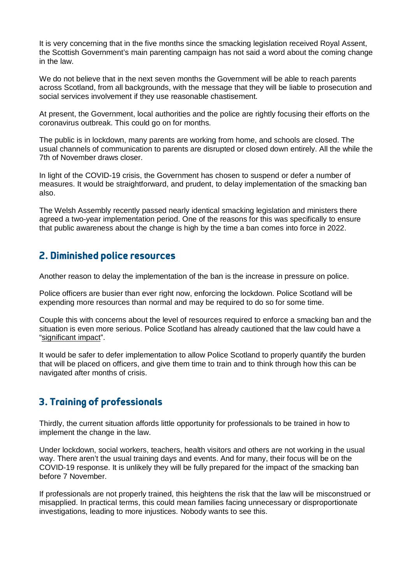It is very concerning that in the five months since the smacking legislation received Royal Assent, the Scottish Government's main parenting campaign has not said a word about the coming change in the law.

We do not believe that in the next seven months the Government will be able to reach parents across Scotland, from all backgrounds, with the message that they will be liable to prosecution and social services involvement if they use reasonable chastisement.

At present, the Government, local authorities and the police are rightly focusing their efforts on the coronavirus outbreak. This could go on for months.

The public is in lockdown, many parents are working from home, and schools are closed. The usual channels of communication to parents are disrupted or closed down entirely. All the while the 7th of November draws closer.

In light of the COVID-19 crisis, the Government has chosen to suspend or defer a number of measures. It would be straightforward, and prudent, to delay implementation of the smacking ban also.

The Welsh Assembly recently passed nearly identical smacking legislation and ministers there agreed a two-year implementation period. One of the reasons for this was specifically to ensure that public awareness about the change is high by the time a ban comes into force in 2022.

#### 2. Diminished police resources

Another reason to delay the implementation of the ban is the increase in pressure on police.

Police officers are busier than ever right now, enforcing the lockdown. Police Scotland will be expending more resources than normal and may be required to do so for some time.

Couple this with concerns about the level of resources required to enforce a smacking ban and the situation is even more serious. Police Scotland has already cautioned that the law could have a "[significant](https://www.pressreader.com/uk/scottish-daily-mail/20200109/281887300243295) impact".

It would be safer to defer implementation to allow Police Scotland to properly quantify the burden that will be placed on officers, and give them time to train and to think through how this can be navigated after months of crisis.

## 3. Training of professionals

Thirdly, the current situation affords little opportunity for professionals to be trained in how to implement the change in the law.

Under lockdown, social workers, teachers, health visitors and others are not working in the usual way. There aren't the usual training days and events. And for many, their focus will be on the COVID-19 response. It is unlikely they will be fully prepared for the impact of the smacking ban before 7 November.

If professionals are not properly trained, this heightens the risk that the law will be misconstrued or misapplied. In practical terms, this could mean families facing unnecessary or disproportionate investigations, leading to more injustices. Nobody wants to see this.